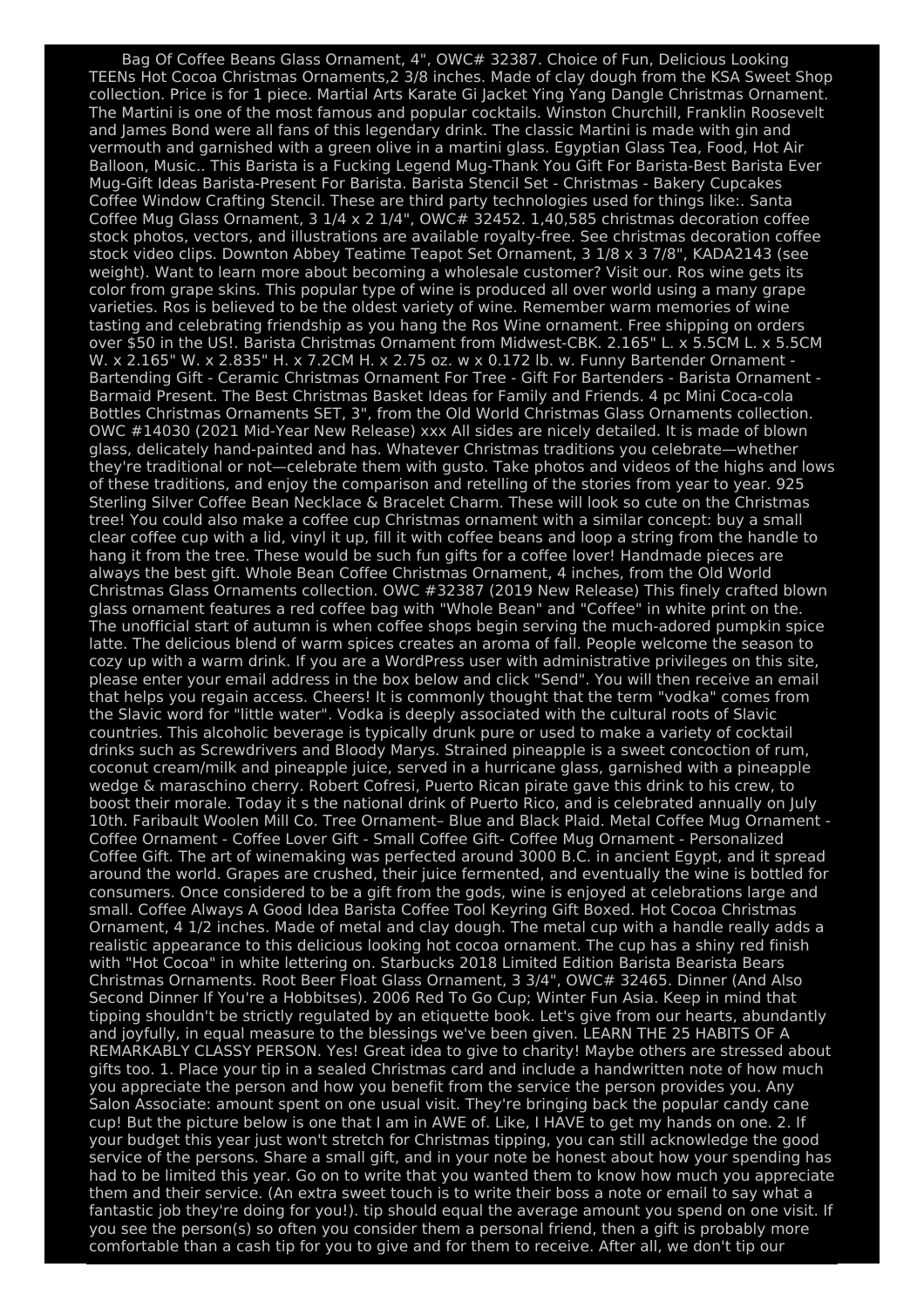Bag Of Coffee Beans Glass Ornament, 4", OWC# 32387. Choice of Fun, Delicious Looking TEENs Hot Cocoa Christmas Ornaments,2 3/8 inches. Made of clay dough from the KSA Sweet Shop collection. Price is for 1 piece. Martial Arts Karate Gi Jacket Ying Yang Dangle Christmas Ornament. The Martini is one of the most famous and popular cocktails. Winston Churchill, Franklin Roosevelt and James Bond were all fans of this legendary drink. The classic Martini is made with gin and vermouth and garnished with a green olive in a martini glass. Egyptian Glass Tea, Food, Hot Air Balloon, Music.. This Barista is a Fucking Legend Mug-Thank You Gift For Barista-Best Barista Ever Mug-Gift Ideas Barista-Present For Barista. Barista Stencil Set - Christmas - Bakery Cupcakes Coffee Window Crafting Stencil. These are third party technologies used for things like:. Santa Coffee Mug Glass Ornament, 3 1/4 x 2 1/4", OWC# 32452. 1,40,585 christmas decoration coffee stock photos, vectors, and illustrations are available royalty-free. See christmas decoration coffee stock video clips. Downton Abbey Teatime Teapot Set Ornament, 3 1/8 x 3 7/8", KADA2143 (see weight). Want to learn more about becoming a wholesale customer? Visit our. Ros wine gets its color from grape skins. This popular type of wine is produced all over world using a many grape varieties. Ros is believed to be the oldest variety of wine. Remember warm memories of wine tasting and celebrating friendship as you hang the Ros Wine ornament. Free shipping on orders over \$50 in the US!. Barista Christmas Ornament from Midwest-CBK. 2.165" L. x 5.5CM L. x 5.5CM W. x 2.165" W. x 2.835" H. x 7.2CM H. x 2.75 oz. w x 0.172 lb. w. Funny Bartender Ornament - Bartending Gift - Ceramic Christmas Ornament For Tree - Gift For Bartenders - Barista Ornament - Barmaid Present. The Best Christmas Basket Ideas for Family and Friends. 4 pc Mini Coca-cola Bottles Christmas Ornaments SET, 3", from the Old World Christmas Glass Ornaments collection. OWC #14030 (2021 Mid-Year New Release) xxx All sides are nicely detailed. It is made of blown glass, delicately hand-painted and has. Whatever Christmas traditions you celebrate—whether they're traditional or not—celebrate them with gusto. Take photos and videos of the highs and lows of these traditions, and enjoy the comparison and retelling of the stories from year to year. 925 Sterling Silver Coffee Bean Necklace & Bracelet Charm. These will look so cute on the Christmas tree! You could also make a coffee cup Christmas ornament with a similar concept: buy a small clear coffee cup with a lid, vinyl it up, fill it with coffee beans and loop a string from the handle to hang it from the tree. These would be such fun gifts for a coffee lover! Handmade pieces are always the best gift. Whole Bean Coffee Christmas Ornament, 4 inches, from the Old World Christmas Glass Ornaments collection. OWC #32387 (2019 New Release) This finely crafted blown glass ornament features a red coffee bag with "Whole Bean" and "Coffee" in white print on the. The unofficial start of autumn is when coffee shops begin serving the much-adored pumpkin spice latte. The delicious blend of warm spices creates an aroma of fall. People welcome the season to cozy up with a warm drink. If you are a WordPress user with administrative privileges on this site, please enter your email address in the box below and click "Send". You will then receive an email that helps you regain access. Cheers! It is commonly thought that the term "vodka" comes from the Slavic word for "little water". Vodka is deeply associated with the cultural roots of Slavic countries. This alcoholic beverage is typically drunk pure or used to make a variety of cocktail drinks such as Screwdrivers and Bloody Marys. Strained pineapple is a sweet concoction of rum, coconut cream/milk and pineapple juice, served in a hurricane glass, garnished with a pineapple wedge & maraschino cherry. Robert Cofresi, Puerto Rican pirate gave this drink to his crew, to boost their morale. Today it s the national drink of Puerto Rico, and is celebrated annually on July 10th. Faribault Woolen Mill Co. Tree Ornament– Blue and Black Plaid. Metal Coffee Mug Ornament - Coffee Ornament - Coffee Lover Gift - Small Coffee Gift- Coffee Mug Ornament - Personalized Coffee Gift. The art of winemaking was perfected around 3000 B.C. in ancient Egypt, and it spread around the world. Grapes are crushed, their juice fermented, and eventually the wine is bottled for consumers. Once considered to be a gift from the gods, wine is enjoyed at celebrations large and small. Coffee Always A Good Idea Barista Coffee Tool Keyring Gift Boxed. Hot Cocoa Christmas Ornament, 4 1/2 inches. Made of metal and clay dough. The metal cup with a handle really adds a realistic appearance to this delicious looking hot cocoa ornament. The cup has a shiny red finish with "Hot Cocoa" in white lettering on. Starbucks 2018 Limited Edition Barista Bearista Bears Christmas Ornaments. Root Beer Float Glass Ornament, 3 3/4", OWC# 32465. Dinner (And Also Second Dinner If You're a Hobbitses). 2006 Red To Go Cup; Winter Fun Asia. Keep in mind that tipping shouldn't be strictly regulated by an etiquette book. Let's give from our hearts, abundantly and joyfully, in equal measure to the blessings we've been given. LEARN THE 25 HABITS OF A REMARKABLY CLASSY PERSON. Yes! Great idea to give to charity! Maybe others are stressed about gifts too. 1. Place your tip in a sealed Christmas card and include a handwritten note of how much you appreciate the person and how you benefit from the service the person provides you. Any Salon Associate: amount spent on one usual visit. They're bringing back the popular candy cane cup! But the picture below is one that I am in AWE of. Like, I HAVE to get my hands on one. 2. If your budget this year just won't stretch for Christmas tipping, you can still acknowledge the good service of the persons. Share a small gift, and in your note be honest about how your spending has had to be limited this year. Go on to write that you wanted them to know how much you appreciate them and their service. (An extra sweet touch is to write their boss a note or email to say what a fantastic job they're doing for you!). tip should equal the average amount you spend on one visit. If you see the person(s) so often you consider them a personal friend, then a gift is probably more comfortable than a cash tip for you to give and for them to receive. After all, we don't tip our